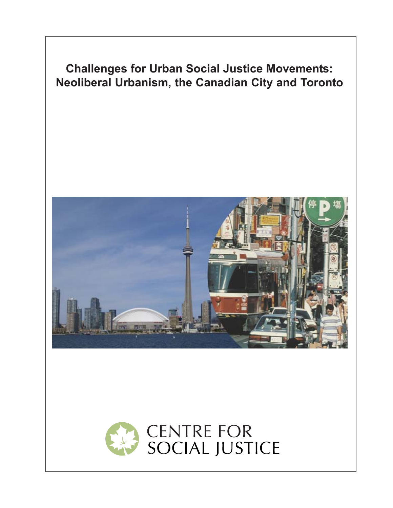



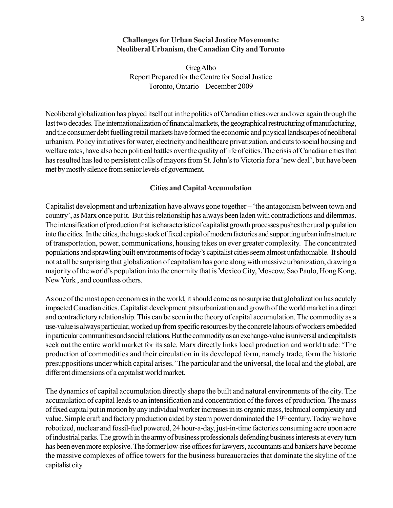## **Challenges for Urban Social Justice Movements: Neoliberal Urbanism, the Canadian City and Toronto**

Greg Albo Report Prepared for the Centre for Social Justice Toronto, Ontario – December 2009

Neoliberal globalization has played itself out in the politics of Canadian cities over and over again through the last two decades. The internationalization of financial markets, the geographical restructuring of manufacturing, and the consumer debt fuelling retail markets have formed the economic and physical landscapes of neoliberal urbanism. Policy initiatives for water, electricity and healthcare privatization, and cuts to social housing and welfare rates, have also been political battles over the quality of life of cities. The crisis of Canadian cities that has resulted has led to persistent calls of mayors from St. John's to Victoria for a 'new deal', but have been met by mostly silence from senior levels of government.

#### **Cities and Capital Accumulation**

Capitalist development and urbanization have always gone together – 'the antagonism between town and country', as Marx once put it. But this relationship has always been laden with contradictions and dilemmas. The intensification of production that is characteristic of capitalist growth processes pushes the rural population into the cities. In the cities, the huge stock of fixed capital of modern factories and supporting urban infrastructure of transportation, power, communications, housing takes on ever greater complexity. The concentrated populations and sprawling built environments of today's capitalist cities seem almost unfathomable. It should not at all be surprising that globalization of capitalism has gone along with massive urbanization, drawing a majority of the world's population into the enormity that is Mexico City, Moscow, Sao Paulo, Hong Kong, New York , and countless others.

As one of the most open economies in the world, it should come as no surprise that globalization has acutely impacted Canadian cities. Capitalist development pits urbanization and growth of the world market in a direct and contradictory relationship. This can be seen in the theory of capital accumulation. The commodity as a use-value is always particular, worked up from specific resources by the concrete labours of workers embedded in particular communities and social relations. But the commodity as an exchange-value is universal and capitalists seek out the entire world market for its sale. Marx directly links local production and world trade: 'The production of commodities and their circulation in its developed form, namely trade, form the historic presuppositions under which capital arises.' The particular and the universal, the local and the global, are different dimensions of a capitalist world market.

The dynamics of capital accumulation directly shape the built and natural environments of the city. The accumulation of capital leads to an intensification and concentration of the forces of production. The mass of fixed capital put in motion by any individual worker increases in its organic mass, technical complexity and value. Simple craft and factory production aided by steam power dominated the 19th century. Today we have robotized, nuclear and fossil-fuel powered, 24 hour-a-day, just-in-time factories consuming acre upon acre of industrial parks. The growth in the army of business professionals defending business interests at every turn has been even more explosive. The former low-rise offices for lawyers, accountants and bankers have become the massive complexes of office towers for the business bureaucracies that dominate the skyline of the capitalist city.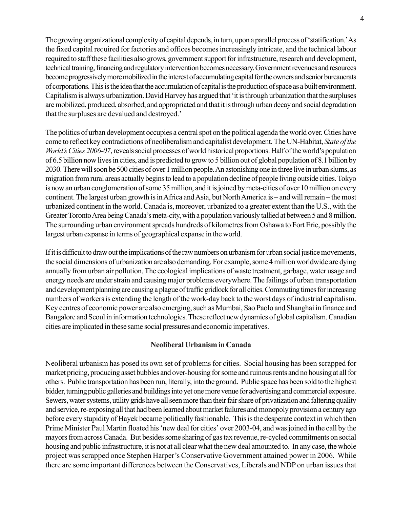The growing organizational complexity of capital depends, in turn, upon a parallel process of 'statification.' As the fixed capital required for factories and offices becomes increasingly intricate, and the technical labour required to staff these facilities also grows, government support for infrastructure, research and development, technical training, financing and regulatory intervention becomes necessary. Government revenues and resources become progressively more mobilized in the interest of accumulating capital for the owners and senior bureaucrats of corporations. This is the idea that the accumulation of capital is the production of space as a built environment. Capitalism is always urbanization. David Harvey has argued that 'it is through urbanization that the surpluses are mobilized, produced, absorbed, and appropriated and that it is through urban decay and social degradation that the surpluses are devalued and destroyed.'

The politics of urban development occupies a central spot on the political agenda the world over. Cities have come to reflect key contradictions of neoliberalism and capitalist development. The UN-Habitat, *State of the World's Cities 2006-07*, reveals social processes of world historical proportions. Half of the world's population of 6.5 billion now lives in cities, and is predicted to grow to 5 billion out of global population of 8.1 billion by 2030. There will soon be 500 cities of over 1 million people. An astonishing one in three live in urban slums, as migration from rural areas actually begins to lead to a population decline of people living outside cities. Tokyo is now an urban conglomeration of some 35 million, and it is joined by meta-cities of over 10 million on every continent. The largest urban growth is in Africa and Asia, but North America is – and will remain – the most urbanized continent in the world. Canada is, moreover, urbanized to a greater extent than the U.S., with the Greater Toronto Area being Canada's meta-city, with a population variously tallied at between 5 and 8 million. The surrounding urban environment spreads hundreds of kilometres from Oshawa to Fort Erie, possibly the largest urban expanse in terms of geographical expanse in the world.

If it is difficult to draw out the implications of the raw numbers on urbanism for urban social justice movements, the social dimensions of urbanization are also demanding. For example, some 4 million worldwide are dying annually from urban air pollution. The ecological implications of waste treatment, garbage, water usage and energy needs are under strain and causing major problems everywhere. The failings of urban transportation and development planning are causing a plague of traffic gridlock for all cities. Commuting times for increasing numbers of workers is extending the length of the work-day back to the worst days of industrial capitalism. Key centres of economic power are also emerging, such as Mumbai, Sao Paolo and Shanghai in finance and Bangalore and Seoul in information technologies. These reflect new dynamics of global capitalism. Canadian cities are implicated in these same social pressures and economic imperatives.

# **Neoliberal Urbanism in Canada**

Neoliberal urbanism has posed its own set of problems for cities. Social housing has been scrapped for market pricing, producing asset bubbles and over-housing for some and ruinous rents and no housing at all for others. Public transportation has been run, literally, into the ground. Public space has been sold to the highest bidder, turning public galleries and buildings into yet one more venue for advertising and commercial exposure. Sewers, water systems, utility grids have all seen more than their fair share of privatization and faltering quality and service, re-exposing all that had been learned about market failures and monopoly provision a century ago before every stupidity of Hayek became politically fashionable. This is the desperate context in which then Prime Minister Paul Martin floated his 'new deal for cities' over 2003-04, and was joined in the call by the mayors from across Canada. But besides some sharing of gas tax revenue, re-cycled commitments on social housing and public infrastructure, it is not at all clear what the new deal amounted to. In any case, the whole project was scrapped once Stephen Harper's Conservative Government attained power in 2006. While there are some important differences between the Conservatives, Liberals and NDP on urban issues that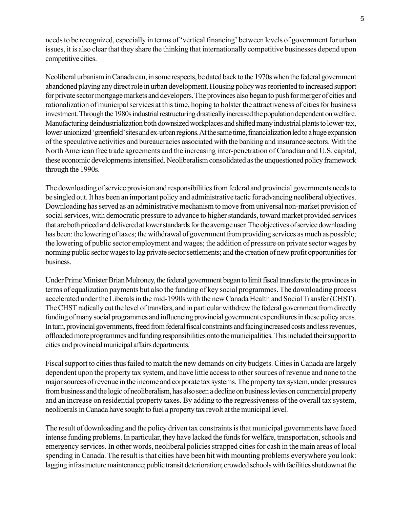needs to be recognized, especially in terms of 'vertical financing' between levels of government for urban issues, it is also clear that they share the thinking that internationally competitive businesses depend upon competitive cities.

Neoliberal urbanism in Canada can, in some respects, be dated back to the 1970s when the federal government abandoned playing any direct role in urban development. Housing policy was reoriented to increased support for private sector mortgage markets and developers. The provinces also began to push for merger of cities and rationalization of municipal services at this time, hoping to bolster the attractiveness of cities for business investment. Through the 1980s industrial restructuring drastically increased the population dependent on welfare. Manufacturing deindustrialization both downsized workplaces and shifted many industrial plants to lower-tax, lower-unionized 'greenfield' sites and ex-urban regions. At the same time, financialization led to a huge expansion of the speculative activities and bureaucracies associated with the banking and insurance sectors. With the North American free trade agreements and the increasing inter-penetration of Canadian and U.S. capital, these economic developments intensified. Neoliberalism consolidated as the unquestioned policy framework through the 1990s.

The downloading of service provision and responsibilities from federal and provincial governments needs to be singled out. It has been an important policy and administrative tactic for advancing neoliberal objectives. Downloading has served as an administrative mechanism to move from universal non-market provision of social services, with democratic pressure to advance to higher standards, toward market provided services that are both priced and delivered at lower standards for the average user. The objectives of service downloading has been: the lowering of taxes; the withdrawal of government from providing services as much as possible; the lowering of public sector employment and wages; the addition of pressure on private sector wages by norming public sector wages to lag private sector settlements; and the creation of new profit opportunities for business.

Under Prime Minister Brian Mulroney, the federal government began to limit fiscal transfers to the provinces in terms of equalization payments but also the funding of key social programmes. The downloading process accelerated under the Liberals in the mid-1990s with the new Canada Health and Social Transfer (CHST). The CHST radically cut the level of transfers, and in particular withdrew the federal government from directly funding of many social programmes and influencing provincial government expenditures in these policy areas. In turn, provincial governments, freed from federal fiscal constraints and facing increased costs and less revenues, offloaded more programmes and funding responsibilities onto the municipalities. This included their support to cities and provincial municipal affairs departments.

Fiscal support to cities thus failed to match the new demands on city budgets. Cities in Canada are largely dependent upon the property tax system, and have little access to other sources of revenue and none to the major sources of revenue in the income and corporate tax systems. The property tax system, under pressures from business and the logic of neoliberalism, has also seen a decline on business levies on commercial property and an increase on residential property taxes. By adding to the regressiveness of the overall tax system, neoliberals in Canada have sought to fuel a property tax revolt at the municipal level.

The result of downloading and the policy driven tax constraints is that municipal governments have faced intense funding problems. In particular, they have lacked the funds for welfare, transportation, schools and emergency services. In other words, neoliberal policies strapped cities for cash in the main areas of local spending in Canada. The result is that cities have been hit with mounting problems everywhere you look: lagging infrastructure maintenance; public transit deterioration; crowded schools with facilities shutdown at the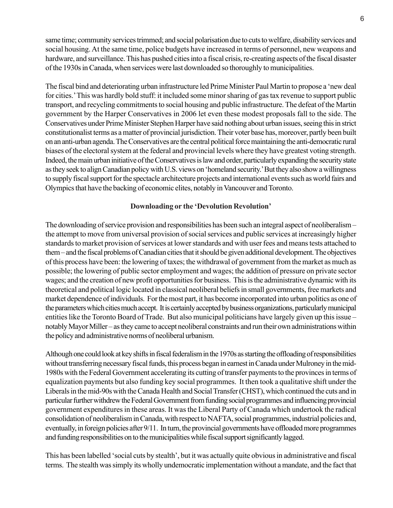same time; community services trimmed; and social polarisation due to cuts to welfare, disability services and social housing. At the same time, police budgets have increased in terms of personnel, new weapons and hardware, and surveillance. This has pushed cities into a fiscal crisis, re-creating aspects of the fiscal disaster of the 1930s in Canada, when services were last downloaded so thoroughly to municipalities.

The fiscal bind and deteriorating urban infrastructure led Prime Minister Paul Martin to propose a 'new deal for cities.' This was hardly bold stuff: it included some minor sharing of gas tax revenue to support public transport, and recycling commitments to social housing and public infrastructure. The defeat of the Martin government by the Harper Conservatives in 2006 let even these modest proposals fall to the side. The Conservatives under Prime Minister Stephen Harper have said nothing about urban issues, seeing this in strict constitutionalist terms as a matter of provincial jurisdiction. Their voter base has, moreover, partly been built on an anti-urban agenda. The Conservatives are the central political force maintaining the anti-democratic rural biases of the electoral system at the federal and provincial levels where they have greatest voting strength. Indeed, the main urban initiative of the Conservatives is law and order, particularly expanding the security state as they seek to align Canadian policy with U.S. views on 'homeland security.' But they also show a willingness to supply fiscal support for the spectacle architecture projects and international events such as world fairs and Olympics that have the backing of economic elites, notably in Vancouver and Toronto.

## **Downloading or the 'Devolution Revolution'**

The downloading of service provision and responsibilities has been such an integral aspect of neoliberalism – the attempt to move from universal provision of social services and public services at increasingly higher standards to market provision of services at lower standards and with user fees and means tests attached to them – and the fiscal problems of Canadian cities that it should be given additional development. The objectives of this process have been: the lowering of taxes; the withdrawal of government from the market as much as possible; the lowering of public sector employment and wages; the addition of pressure on private sector wages; and the creation of new profit opportunities for business. This is the administrative dynamic with its theoretical and political logic located in classical neoliberal beliefs in small governments, free markets and market dependence of individuals. For the most part, it has become incorporated into urban politics as one of the parameters which cities much accept. It is certainly accepted by business organizations, particularly municipal entities like the Toronto Board of Trade. But also municipal politicians have largely given up this issue – notably Mayor Miller – as they came to accept neoliberal constraints and run their own administrations within the policy and administrative norms of neoliberal urbanism.

Although one could look at key shifts in fiscal federalism in the 1970s as starting the offloading of responsibilities without transferring necessary fiscal funds, this process began in earnest in Canada under Mulroney in the mid-1980s with the Federal Government accelerating its cutting of transfer payments to the provinces in terms of equalization payments but also funding key social programmes. It then took a qualitative shift under the Liberals in the mid-90s with the Canada Health and Social Transfer (CHST), which continued the cuts and in particular further withdrew the Federal Government from funding social programmes and influencing provincial government expenditures in these areas. It was the Liberal Party of Canada which undertook the radical consolidation of neoliberalism in Canada, with respect to NAFTA, social programmes, industrial policies and, eventually, in foreign policies after 9/11. In turn, the provincial governments have offloaded more programmes and funding responsibilities on to the municipalities while fiscal support significantly lagged.

This has been labelled 'social cuts by stealth', but it was actually quite obvious in administrative and fiscal terms. The stealth was simply its wholly undemocratic implementation without a mandate, and the fact that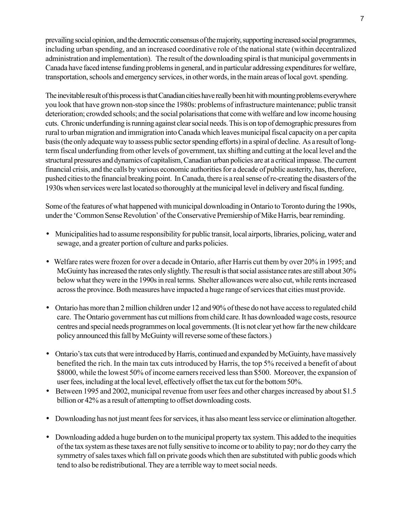prevailing social opinion, and the democratic consensus of the majority, supporting increased social programmes, including urban spending, and an increased coordinative role of the national state (within decentralized administration and implementation). The result of the downloading spiral is that municipal governments in Canada have faced intense funding problems in general, and in particular addressing expenditures for welfare, transportation, schools and emergency services, in other words, in the main areas of local govt. spending.

The inevitable result of this process is that Canadian cities have really been hit with mounting problems everywhere you look that have grown non-stop since the 1980s: problems of infrastructure maintenance; public transit deterioration; crowded schools; and the social polarisations that come with welfare and low income housing cuts. Chronic underfunding is running against clear social needs. This is on top of demographic pressures from rural to urban migration and immigration into Canada which leaves municipal fiscal capacity on a per capita basis (the only adequate way to assess public sector spending efforts) in a spiral of decline. As a result of longterm fiscal underfunding from other levels of government, tax shifting and cutting at the local level and the structural pressures and dynamics of capitalism, Canadian urban policies are at a critical impasse. The current financial crisis, and the calls by various economic authorities for a decade of public austerity, has, therefore, pushed cities to the financial breaking point. In Canada, there is a real sense of re-creating the disasters of the 1930s when services were last located so thoroughly at the municipal level in delivery and fiscal funding.

Some of the features of what happened with municipal downloading in Ontario to Toronto during the 1990s, under the 'Common Sense Revolution' of the Conservative Premiership of Mike Harris, bear reminding.

- Municipalities had to assume responsibility for public transit, local airports, libraries, policing, water and sewage, and a greater portion of culture and parks policies.
- Welfare rates were frozen for over a decade in Ontario, after Harris cut them by over 20% in 1995; and McGuinty has increased the rates only slightly. The result is that social assistance rates are still about 30% below what they were in the 1990s in real terms. Shelter allowances were also cut, while rents increased across the province. Both measures have impacted a huge range of services that cities must provide.
- Ontario has more than 2 million children under 12 and 90% of these do not have access to regulated child care. The Ontario government has cut millions from child care. It has downloaded wage costs, resource centres and special needs programmes on local governments. (It is not clear yet how far the new childcare policy announced this fall by McGuinty will reverse some of these factors.)
- Ontario's tax cuts that were introduced by Harris, continued and expanded by McGuinty, have massively benefited the rich. In the main tax cuts introduced by Harris, the top 5% received a benefit of about \$8000, while the lowest 50% of income earners received less than \$500. Moreover, the expansion of user fees, including at the local level, effectively offset the tax cut for the bottom 50%.
- Between 1995 and 2002, municipal revenue from user fees and other charges increased by about \$1.5 billion or 42% as a result of attempting to offset downloading costs.
- Downloading has not just meant fees for services, it has also meant less service or elimination altogether.
- Downloading added a huge burden on to the municipal property tax system. This added to the inequities of the tax system as these taxes are not fully sensitive to income or to ability to pay; nor do they carry the symmetry of sales taxes which fall on private goods which then are substituted with public goods which tend to also be redistributional. They are a terrible way to meet social needs.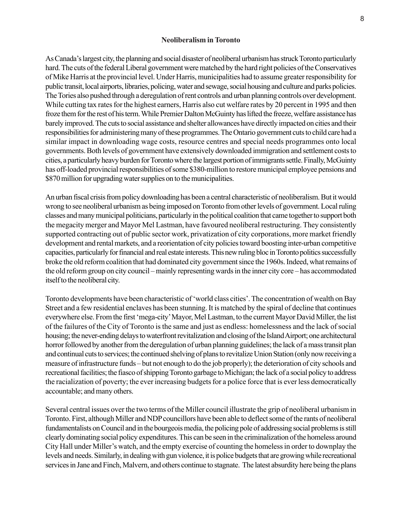#### **Neoliberalism in Toronto**

As Canada's largest city, the planning and social disaster of neoliberal urbanism has struck Toronto particularly hard. The cuts of the federal Liberal government were matched by the hard right policies of the Conservatives of Mike Harris at the provincial level. Under Harris, municipalities had to assume greater responsibility for public transit, local airports, libraries, policing, water and sewage, social housing and culture and parks policies. The Tories also pushed through a deregulation of rent controls and urban planning controls over development. While cutting tax rates for the highest earners, Harris also cut welfare rates by 20 percent in 1995 and then froze them for the rest of his term. While Premier Dalton McGuinty has lifted the freeze, welfare assistance has barely improved. The cuts to social assistance and shelter allowances have directly impacted on cities and their responsibilities for administering many of these programmes. The Ontario government cuts to child care had a similar impact in downloading wage costs, resource centres and special needs programmes onto local governments. Both levels of government have extensively downloaded immigration and settlement costs to cities, a particularly heavy burden for Toronto where the largest portion of immigrants settle. Finally, McGuinty has off-loaded provincial responsibilities of some \$380-million to restore municipal employee pensions and \$870 million for upgrading water supplies on to the municipalities.

An urban fiscal crisis from policy downloading has been a central characteristic of neoliberalism. But it would wrong to see neoliberal urbanism as being imposed on Toronto from other levels of government. Local ruling classes and many municipal politicians, particularly in the political coalition that came together to support both the megacity merger and Mayor Mel Lastman, have favoured neoliberal restructuring. They consistently supported contracting out of public sector work, privatization of city corporations, more market friendly development and rental markets, and a reorientation of city policies toward boosting inter-urban competitive capacities, particularly for financial and real estate interests. This new ruling bloc in Toronto politics successfully broke the old reform coalition that had dominated city government since the 1960s. Indeed, what remains of the old reform group on city council – mainly representing wards in the inner city core – has accommodated itself to the neoliberal city.

Toronto developments have been characteristic of 'world class cities'. The concentration of wealth on Bay Street and a few residential enclaves has been stunning. It is matched by the spiral of decline that continues everywhere else. From the first 'mega-city' Mayor, Mel Lastman, to the current Mayor David Miller, the list of the failures of the City of Toronto is the same and just as endless: homelessness and the lack of social housing; the never-ending delays to waterfront revitalization and closing of the Island Airport; one architectural horror followed by another from the deregulation of urban planning guidelines; the lack of a mass transit plan and continual cuts to services; the continued shelving of plans to revitalize Union Station (only now receiving a measure of infrastructure funds – but not enough to do the job properly); the deterioration of city schools and recreational facilities; the fiasco of shipping Toronto garbage to Michigan; the lack of a social policy to address the racialization of poverty; the ever increasing budgets for a police force that is ever less democratically accountable; and many others.

Several central issues over the two terms of the Miller council illustrate the grip of neoliberal urbanism in Toronto. First, although Miller and NDP councillors have been able to deflect some of the rants of neoliberal fundamentalists on Council and in the bourgeois media, the policing pole of addressing social problems is still clearly dominating social policy expenditures. This can be seen in the criminalization of the homeless around City Hall under Miller's watch, and the empty exercise of counting the homeless in order to downplay the levels and needs. Similarly, in dealing with gun violence, it is police budgets that are growing while recreational services in Jane and Finch, Malvern, and others continue to stagnate. The latest absurdity here being the plans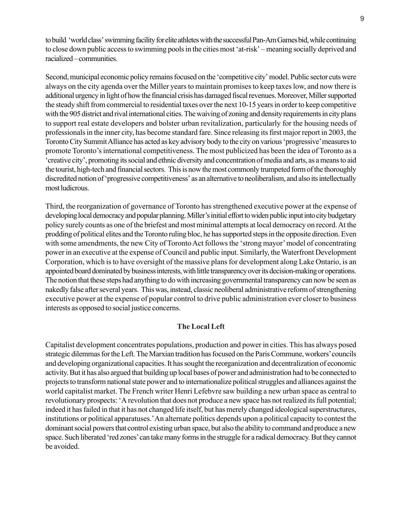to build 'world class' swimming facility for elite athletes with the successful Pan-Am Games bid, while continuing to close down public access to swimming pools in the cities most 'at-risk' – meaning socially deprived and racialized – communities.

Second, municipal economic policy remains focused on the 'competitive city' model. Public sector cuts were always on the city agenda over the Miller years to maintain promises to keep taxes low, and now there is additional urgency in light of how the financial crisis has damaged fiscal revenues. Moreover, Miller supported the steady shift from commercial to residential taxes over the next 10-15 years in order to keep competitive with the 905 district and rival international cities. The waiving of zoning and density requirements in city plans to support real estate developers and bolster urban revitalization, particularly for the housing needs of professionals in the inner city, has become standard fare. Since releasing its first major report in 2003, the Toronto City Summit Alliance has acted as key advisory body to the city on various 'progressive' measures to promote Toronto's international competitiveness. The most publicized has been the idea of Toronto as a 'creative city', promoting its social and ethnic diversity and concentration of media and arts, as a means to aid the tourist, high-tech and financial sectors. This is now the most commonly trumpeted form of the thoroughly discredited notion of 'progressive competitiveness' as an alternative to neoliberalism, and also its intellectually most ludicrous.

Third, the reorganization of governance of Toronto has strengthened executive power at the expense of developing local democracy and popular planning. Miller's initial effort to widen public input into city budgetary policy surely counts as one of the briefest and most minimal attempts at local democracy on record. At the prodding of political elites and the Toronto ruling bloc, he has supported steps in the opposite direction. Even with some amendments, the new City of Toronto Act follows the 'strong mayor' model of concentrating power in an executive at the expense of Council and public input. Similarly, the Waterfront Development Corporation, which is to have oversight of the massive plans for development along Lake Ontario, is an appointed board dominated by business interests, with little transparency over its decision-making or operations. The notion that these steps had anything to do with increasing governmental transparency can now be seen as nakedly false after several years. This was, instead, classic neoliberal administrative reform of strengthening executive power at the expense of popular control to drive public administration ever closer to business interests as opposed to social justice concerns.

#### **The Local Left**

Capitalist development concentrates populations, production and power in cities. This has always posed strategic dilemmas for the Left. The Marxian tradition has focused on the Paris Commune, workers' councils and developing organizational capacities. It has sought the reorganization and decentralization of economic activity. But it has also argued that building up local bases of power and administration had to be connected to projects to transform national state power and to internationalize political struggles and alliances against the world capitalist market. The French writer Henri Lefebvre saw building a new urban space as central to revolutionary prospects: 'A revolution that does not produce a new space has not realized its full potential; indeed it has failed in that it has not changed life itself, but has merely changed ideological superstructures, institutions or political apparatuses.' An alternate politics depends upon a political capacity to contest the dominant social powers that control existing urban space, but also the ability to command and produce a new space. Such liberated 'red zones' can take many forms in the struggle for a radical democracy. But they cannot be avoided.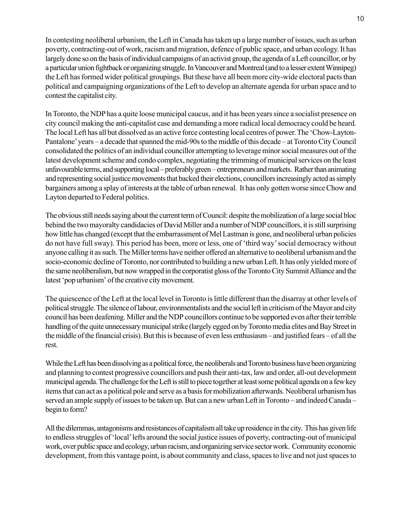In contesting neoliberal urbanism, the Left in Canada has taken up a large number of issues, such as urban poverty, contracting-out of work, racism and migration, defence of public space, and urban ecology. It has largely done so on the basis of individual campaigns of an activist group, the agenda of a Left councillor, or by a particular union fightback or organizing struggle. In Vancouver and Montreal (and to a lesser extent Winnipeg) the Left has formed wider political groupings. But these have all been more city-wide electoral pacts than political and campaigning organizations of the Left to develop an alternate agenda for urban space and to contest the capitalist city.

In Toronto, the NDP has a quite loose municipal caucus, and it has been years since a socialist presence on city council making the anti-capitalist case and demanding a more radical local democracy could be heard. The local Left has all but dissolved as an active force contesting local centres of power. The 'Chow-Layton-Pantalone' years – a decade that spanned the mid-90s to the middle of this decade – at Toronto City Council consolidated the politics of an individual councillor attempting to leverage minor social measures out of the latest development scheme and condo complex, negotiating the trimming of municipal services on the least unfavourable terms, and supporting local – preferably green – entrepreneurs and markets. Rather than animating and representing social justice movements that backed their elections, councillors increasingly acted as simply bargainers among a splay of interests at the table of urban renewal. It has only gotten worse since Chow and Layton departed to Federal politics.

The obvious still needs saying about the current term of Council: despite the mobilization of a large social bloc behind the two mayoralty candidacies of David Miller and a number of NDP councillors, it is still surprising how little has changed (except that the embarrassment of Mel Lastman is gone, and neoliberal urban policies do not have full sway). This period has been, more or less, one of 'third way' social democracy without anyone calling it as such. The Miller terms have neither offered an alternative to neoliberal urbanism and the socio-economic decline of Toronto, nor contributed to building a new urban Left. It has only yielded more of the same neoliberalism, but now wrapped in the corporatist gloss of the Toronto City Summit Alliance and the latest 'pop urbanism' of the creative city movement.

The quiescence of the Left at the local level in Toronto is little different than the disarray at other levels of political struggle. The silence of labour, environmentalists and the social left in criticism of the Mayor and city council has been deafening. Miller and the NDP councillors continue to be supported even after their terrible handling of the quite unnecessary municipal strike (largely egged on by Toronto media elites and Bay Street in the middle of the financial crisis). But this is because of even less enthusiasm – and justified fears – of all the rest.

While the Left has been dissolving as a political force, the neoliberals and Toronto business have been organizing and planning to contest progressive councillors and push their anti-tax, law and order, all-out development municipal agenda. The challenge for the Left is still to piece together at least some political agenda on a few key items that can act as a political pole and serve as a basis for mobilization afterwards. Neoliberal urbanism has served an ample supply of issues to be taken up. But can a new urban Left in Toronto – and indeed Canada – begin to form?

All the dilemmas, antagonisms and resistances of capitalism all take up residence in the city. This has given life to endless struggles of 'local' lefts around the social justice issues of poverty, contracting-out of municipal work, over public space and ecology, urban racism, and organizing service sector work. Community economic development, from this vantage point, is about community and class, spaces to live and not just spaces to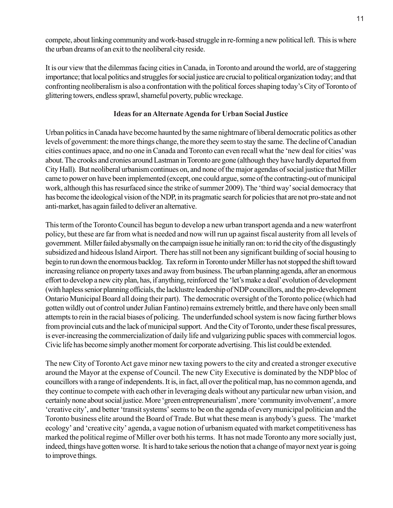compete, about linking community and work-based struggle in re-forming a new political left. This is where the urban dreams of an exit to the neoliberal city reside.

It is our view that the dilemmas facing cities in Canada, in Toronto and around the world, are of staggering importance; that local politics and struggles for social justice are crucial to political organization today; and that confronting neoliberalism is also a confrontation with the political forces shaping today's City of Toronto of glittering towers, endless sprawl, shameful poverty, public wreckage.

# **Ideas for an Alternate Agenda for Urban Social Justice**

Urban politics in Canada have become haunted by the same nightmare of liberal democratic politics as other levels of government: the more things change, the more they seem to stay the same. The decline of Canadian cities continues apace, and no one in Canada and Toronto can even recall what the 'new deal for cities' was about. The crooks and cronies around Lastman in Toronto are gone (although they have hardly departed from City Hall). But neoliberal urbanism continues on, and none of the major agendas of social justice that Miller came to power on have been implemented (except, one could argue, some of the contracting-out of municipal work, although this has resurfaced since the strike of summer 2009). The 'third way' social democracy that has become the ideological vision of the NDP, in its pragmatic search for policies that are not pro-state and not anti-market, has again failed to deliver an alternative.

This term of the Toronto Council has begun to develop a new urban transport agenda and a new waterfront policy, but these are far from what is needed and now will run up against fiscal austerity from all levels of government. Miller failed abysmally on the campaign issue he initially ran on: to rid the city of the disgustingly subsidized and hideous Island Airport. There has still not been any significant building of social housing to begin to run down the enormous backlog. Tax reform in Toronto under Miller has not stopped the shift toward increasing reliance on property taxes and away from business. The urban planning agenda, after an enormous effort to develop a new city plan, has, if anything, reinforced the 'let's make a deal' evolution of development (with hapless senior planning officials, the lacklustre leadership of NDP councillors, and the pro-development Ontario Municipal Board all doing their part). The democratic oversight of the Toronto police (which had gotten wildly out of control under Julian Fantino) remains extremely brittle, and there have only been small attempts to rein in the racial biases of policing. The underfunded school system is now facing further blows from provincial cuts and the lack of municipal support. And the City of Toronto, under these fiscal pressures, is ever-increasing the commercialization of daily life and vulgarizing public spaces with commercial logos. Civic life has become simply another moment for corporate advertising. This list could be extended.

The new City of Toronto Act gave minor new taxing powers to the city and created a stronger executive around the Mayor at the expense of Council. The new City Executive is dominated by the NDP bloc of councillors with a range of independents. It is, in fact, all over the political map, has no common agenda, and they continue to compete with each other in leveraging deals without any particular new urban vision, and certainly none about social justice. More 'green entrepreneurialism', more 'community involvement', a more 'creative city', and better 'transit systems' seems to be on the agenda of every municipal politician and the Toronto business elite around the Board of Trade. But what these mean is anybody's guess. The 'market ecology' and 'creative city' agenda, a vague notion of urbanism equated with market competitiveness has marked the political regime of Miller over both his terms. It has not made Toronto any more socially just, indeed, things have gotten worse. It is hard to take serious the notion that a change of mayor next year is going to improve things.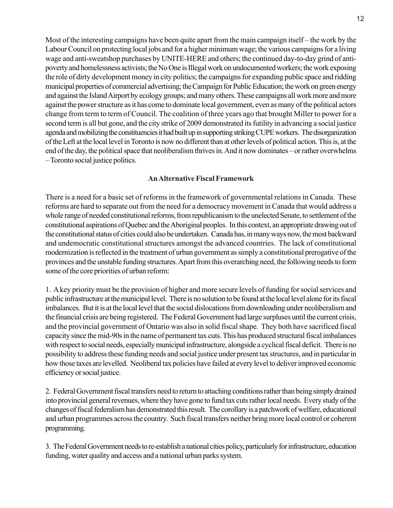Most of the interesting campaigns have been quite apart from the main campaign itself – the work by the Labour Council on protecting local jobs and for a higher minimum wage; the various campaigns for a living wage and anti-sweatshop purchases by UNITE-HERE and others; the continued day-to-day grind of antipoverty and homelessness activists; the No One is Illegal work on undocumented workers; the work exposing the role of dirty development money in city politics; the campaigns for expanding public space and ridding municipal properties of commercial advertising; the Campaign for Public Education; the work on green energy and against the Island Airport by ecology groups; and many others. These campaigns all work more and more against the power structure as it has come to dominate local government, even as many of the political actors change from term to term of Council. The coalition of three years ago that brought Miller to power for a second term is all but gone, and the city strike of 2009 demonstrated its futility in advancing a social justice agenda and mobilizing the constituencies it had built up in supporting striking CUPE workers. The disorganization of the Left at the local level in Toronto is now no different than at other levels of political action. This is, at the end of the day, the political space that neoliberalism thrives in. And it now dominates – or rather overwhelms – Toronto social justice politics.

## **An Alternative Fiscal Framework**

There is a need for a basic set of reforms in the framework of governmental relations in Canada. These reforms are hard to separate out from the need for a democracy movement in Canada that would address a whole range of needed constitutional reforms, from republicanism to the unelected Senate, to settlement of the constitutional aspirations of Quebec and the Aboriginal peoples. In this context, an appropriate drawing out of the constitutional status of cities could also be undertaken. Canada has, in many ways now, the most backward and undemocratic constitutional structures amongst the advanced countries. The lack of constitutional modernization is reflected in the treatment of urban government as simply a constitutional prerogative of the provinces and the unstable funding structures. Apart from this overarching need, the following needs to form some of the core priorities of urban reform:

1. A key priority must be the provision of higher and more secure levels of funding for social services and public infrastructure at the municipal level. There is no solution to be found at the local level alone for its fiscal imbalances. But it is at the local level that the social dislocations from downloading under neoliberalism and the financial crisis are being registered. The Federal Government had large surpluses until the current crisis, and the provincial government of Ontario was also in solid fiscal shape. They both have sacrificed fiscal capacity since the mid-90s in the name of permanent tax cuts. This has produced structural fiscal imbalances with respect to social needs, especially municipal infrastructure, alongside a cyclical fiscal deficit. There is no possibility to address these funding needs and social justice under present tax structures, and in particular in how those taxes are levelled. Neoliberal tax policies have failed at every level to deliver improved economic efficiency or social justice.

2. Federal Government fiscal transfers need to return to attaching conditions rather than being simply drained into provincial general revenues, where they have gone to fund tax cuts rather local needs. Every study of the changes of fiscal federalism has demonstrated this result. The corollary is a patchwork of welfare, educational and urban programmes across the country. Such fiscal transfers neither bring more local control or coherent programming.

3. The Federal Government needs to re-establish a national cities policy, particularly for infrastructure, education funding, water quality and access and a national urban parks system.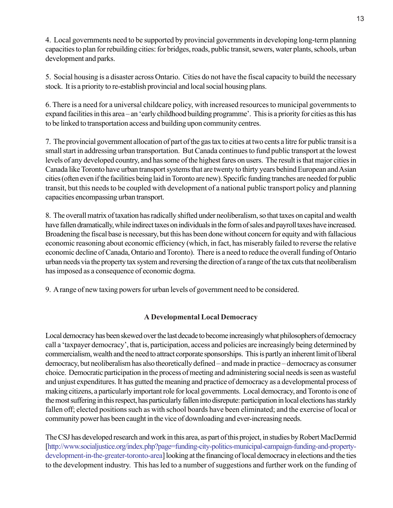4. Local governments need to be supported by provincial governments in developing long-term planning capacities to plan for rebuilding cities: for bridges, roads, public transit, sewers, water plants, schools, urban development and parks.

5. Social housing is a disaster across Ontario. Cities do not have the fiscal capacity to build the necessary stock. It is a priority to re-establish provincial and local social housing plans.

6. There is a need for a universal childcare policy, with increased resources to municipal governments to expand facilities in this area – an 'early childhood building programme'. This is a priority for cities as this has to be linked to transportation access and building upon community centres.

7. The provincial government allocation of part of the gas tax to cities at two cents a litre for public transit is a small start in addressing urban transportation. But Canada continues to fund public transport at the lowest levels of any developed country, and has some of the highest fares on users. The result is that major cities in Canada like Toronto have urban transport systems that are twenty to thirty years behind European and Asian cities (often even if the facilities being laid in Toronto are new). Specific funding tranches are needed for public transit, but this needs to be coupled with development of a national public transport policy and planning capacities encompassing urban transport.

8. The overall matrix of taxation has radically shifted under neoliberalism, so that taxes on capital and wealth have fallen dramatically, while indirect taxes on individuals in the form of sales and payroll taxes have increased. Broadening the fiscal base is necessary, but this has been done without concern for equity and with fallacious economic reasoning about economic efficiency (which, in fact, has miserably failed to reverse the relative economic decline of Canada, Ontario and Toronto). There is a need to reduce the overall funding of Ontario urban needs via the property tax system and reversing the direction of a range of the tax cuts that neoliberalism has imposed as a consequence of economic dogma.

9. A range of new taxing powers for urban levels of government need to be considered.

# **A Developmental Local Democracy**

Local democracy has been skewed over the last decade to become increasingly what philosophers of democracy call a 'taxpayer democracy', that is, participation, access and policies are increasingly being determined by commercialism, wealth and the need to attract corporate sponsorships. This is partly an inherent limit of liberal democracy, but neoliberalism has also theoretically defined – and made in practice – democracy as consumer choice. Democratic participation in the process of meeting and administering social needs is seen as wasteful and unjust expenditures. It has gutted the meaning and practice of democracy as a developmental process of making citizens, a particularly important role for local governments. Local democracy, and Toronto is one of the most suffering in this respect, has particularly fallen into disrepute: participation in local elections has starkly fallen off; elected positions such as with school boards have been eliminated; and the exercise of local or community power has been caught in the vice of downloading and ever-increasing needs.

The CSJ has developed research and work in this area, as part of this project, in studies by Robert MacDermid [http://www.socialjustice.org/index.php?page=funding-city-politics-municipal-campaign-funding-and-propertydevelopment-in-the-greater-toronto-area] looking at the financing of local democracy in elections and the ties to the development industry. This has led to a number of suggestions and further work on the funding of